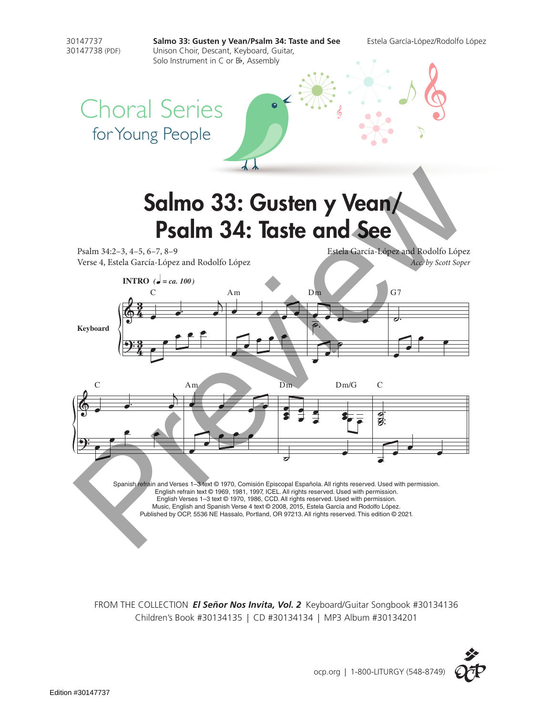

FROM THE COLLECTION *El Señor Nos Invita, Vol. 2* Keyboard/Guitar Songbook #30134136 Children's Book #30134135 | CD #30134134 | MP3 Album #30134201

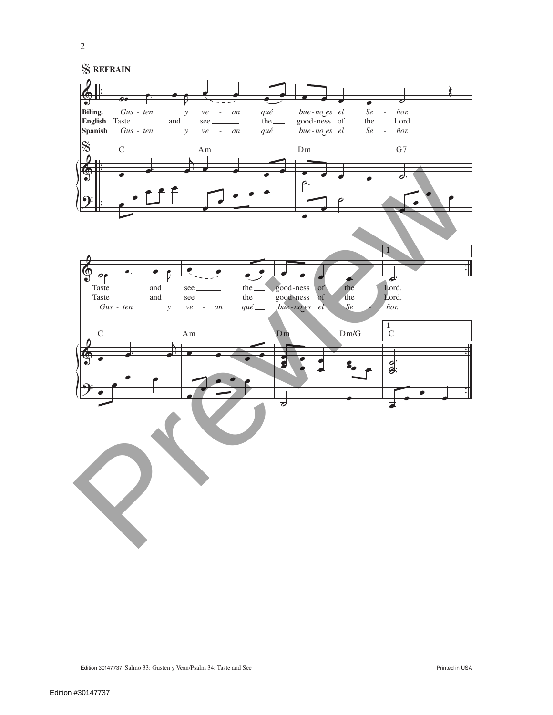

2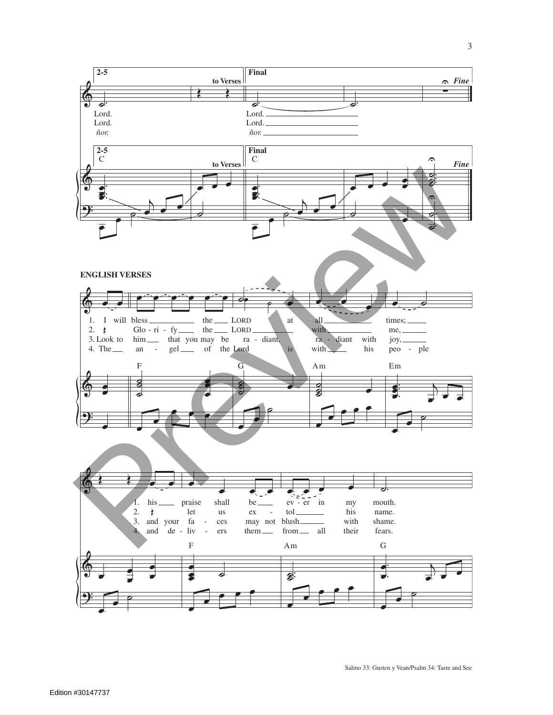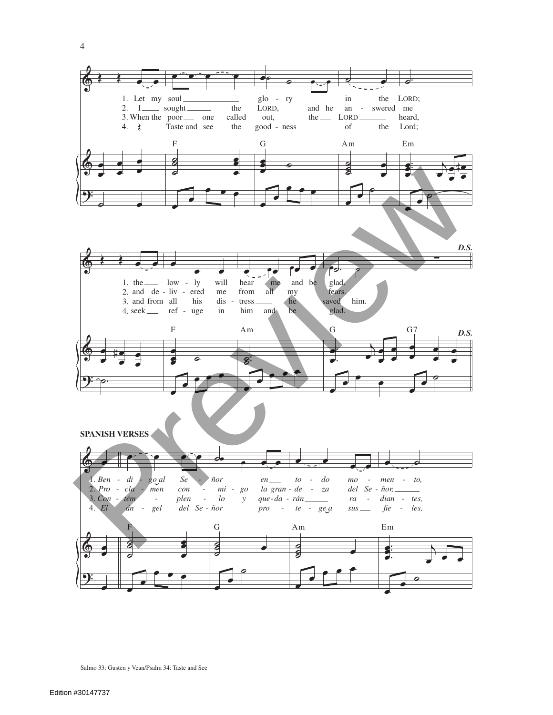

Salmo 33: Gusten y Vean/Psalm 34: Taste and See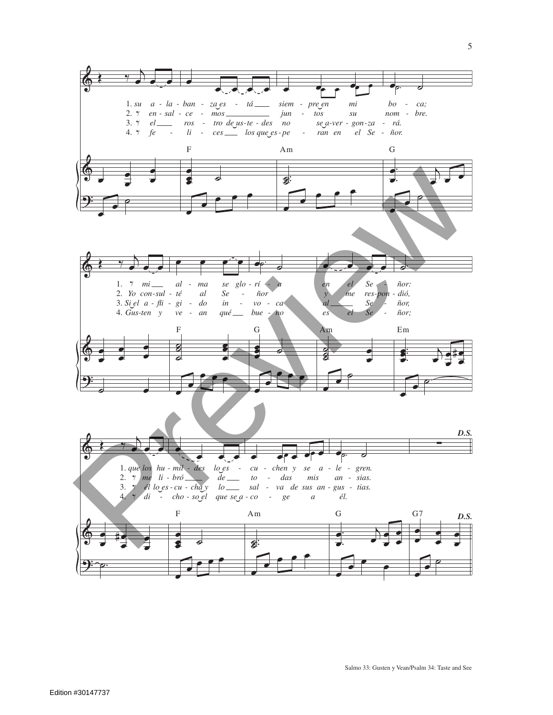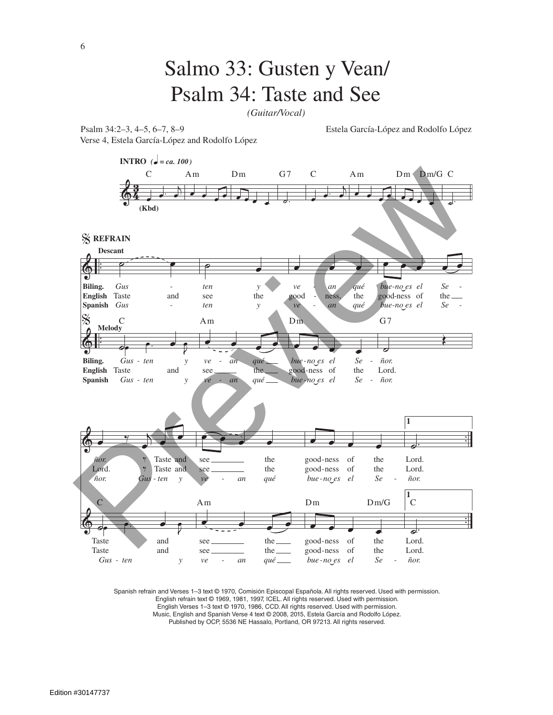## Salmo 33: Gusten y Vean/ Psalm 34: Taste and See

*(Guitar/Vocal)*

Verse 4, Estela García-López and Rodolfo López

Psalm 34:2–3, 4–5, 6–7, 8–9 Estela García-López and Rodolfo López



Spanish refrain and Verses 1–3 text © 1970, Comisión Episcopal Española. All rights reserved. Used with permission. English refrain text © 1969, 1981, 1997, ICEL. All rights reserved. Used with permission. English Verses 1–3 text © 1970, 1986, CCD. All rights reserved. Used with permission. Music, English and Spanish Verse 4 text © 2008, 2015, Estela García and Rodolfo López. Published by OCP, 5536 NE Hassalo, Portland, OR 97213. All rights reserved.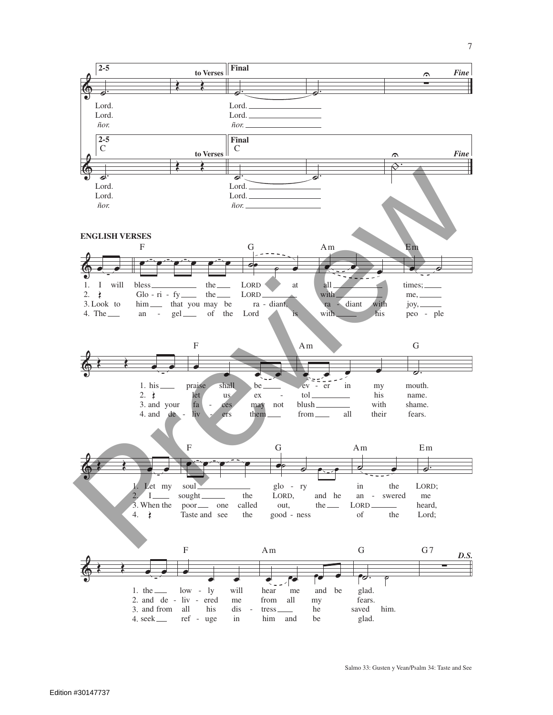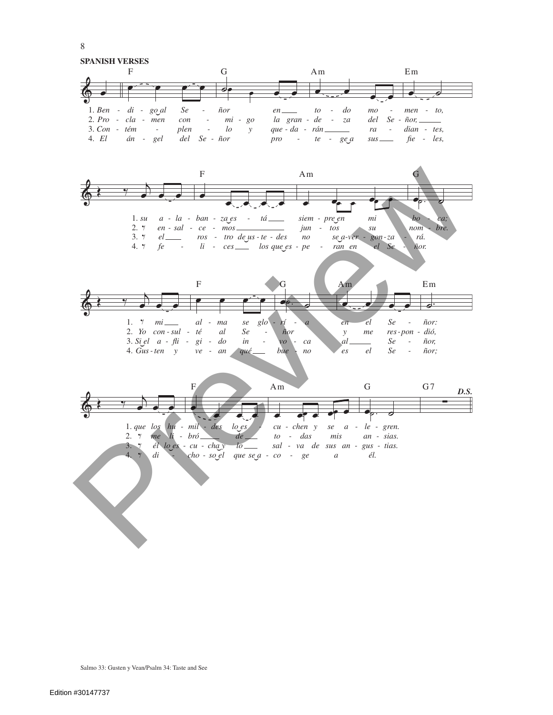$8\,$ **SPANISH VERSES**  $\mathbf{F}$  $\mathbf G$  $Am$  $Em$ ℯ  $1. Ben - di - goal$  $\mathcal{S}e$  $d\sigma$  $\tilde{n}or$  $en$  $to$   $mo$  $men - to,$ la gran - de - za  $2. Pro -cla - men$  $del$  Se - ñor,  $=$  $con$  $mi - go$  $\bar{\phantom{a}}$ plen  $3. Con - tém \mathcal{L}$  $l$ que - da -  $rán$ ra  $dian - tes,$  $\mathcal{Y}$  $\sim$  $\sim$ 4.  $El$ án - gel  $del$   $Se$  -  $ñor$ pro - te -  $geq a$  $sus$  $fie$  - les,  $\mathbf F$  $\mathop{\rm Am}\nolimits$ G  $\begin{tabular}{lllllllllll} 1. su & a - la - ban - zaes & - tá \hspace{3.5mm} & siem - p & & \\ 2. \ \gamma & en - sal & - ce & - mos \hspace{3.5mm} & jun & - & \\ 3. \ \gamma & el \hspace{3.5mm} & ros & - tro de_3us - te - des & no & \\ 4. \ \gamma & fe & - & li & - ces \hspace{3.5mm} & los que es - pe & - \\ \end{tabular}$ siem - pre\_en  $bo$ mi ca nom - bre. jun - tos  $\mathcal{S}\mathcal{U}$ se a-ver rá.  $gon$ -za ran en el Se ñor.  $\overline{\mathrm{F}}$  $\rm{E\,m}$  $Am$  $\overline{\bullet}$ 1.  $\gamma$  mi  $al$  -  $ma$ ñor: rí Se  $\mathfrak{se}$  $g$ lo  $\overline{en}$  $el$  $\sim$  $\overline{a}$  $\overline{a}$ 2. Yo $\ con$  -  $sul$  -  $\ t\acute{e}$  $al$  $\mathcal{S}e$ res-pon - dió,  $\tilde{n}$ or  $\mathcal{Y}$  $me$  $\overline{\phantom{a}}$  $3. \, S \vdots el \quad a \text{ - } \nfli \text{ - } gi \text{ - } \ndo$  $\it in$  $\overline{v}$ al.  $\mathcal{S}\boldsymbol{e}$  $\tilde{n}or$  $-ca$  $\overline{\phantom{a}}$ 4.  $Gus$ -ten  $y$  $ve$  -  $an$ bue  $el$ Se qué  $no$  $\epsilon$ s ñor;  $\overline{F}$  $Am$  $\mathbf G$  $G<sub>7</sub>$ D.S.  $1. que los hu - mil - des$  $\log e$  $cu - chan$  y  $a - le - gren.$  $\mathfrak{se}$  $2.$   $\gamma$  me li - bró  $de_{-}$  $to$  -  $das$ mis an - sias. 3. I él lo es - cu - chay  $10$  sal - va de sus an - gus - tias.  $di$  $4.$   $4$  $cho - soel$ que se a - co - ge  $\overline{a}$ él.

Salmo 33: Gusten y Vean/Psalm 34: Taste and See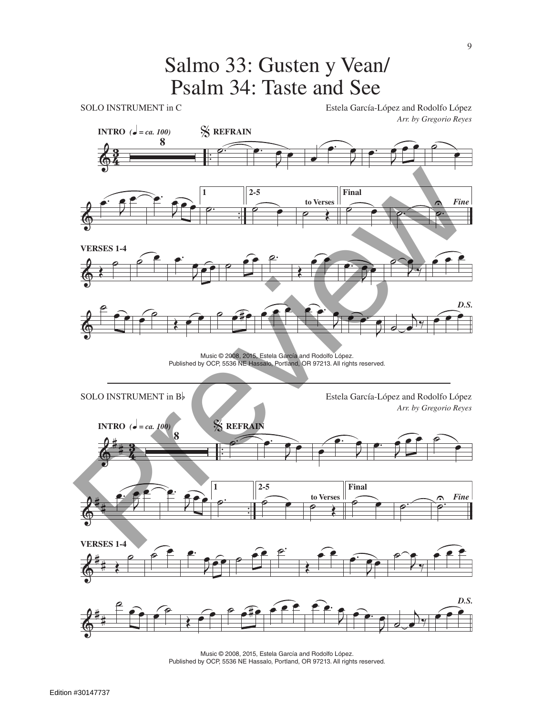## Salmo 33: Gusten y Vean/ Psalm 34: Taste and See



Music © 2008, 2015, Estela García and Rodolfo López. Published by OCP, 5536 NE Hassalo, Portland, OR 97213. All rights reserved.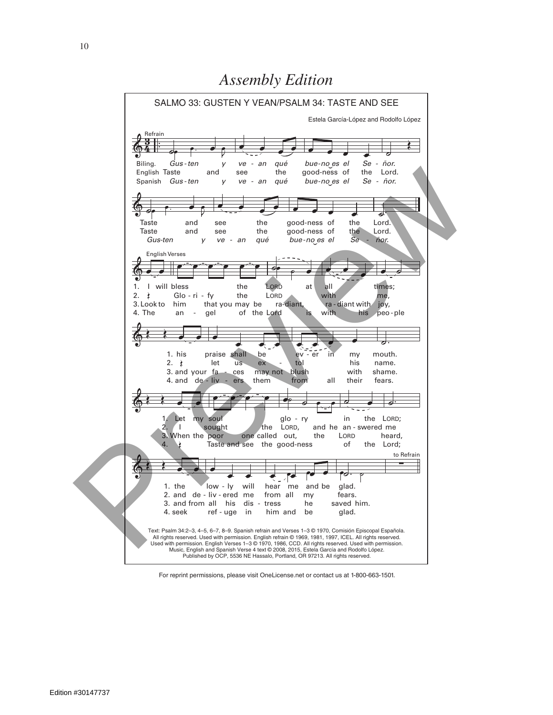

For reprint permissions, please visit OneLicense.net or contact us at 1-800-663-1501.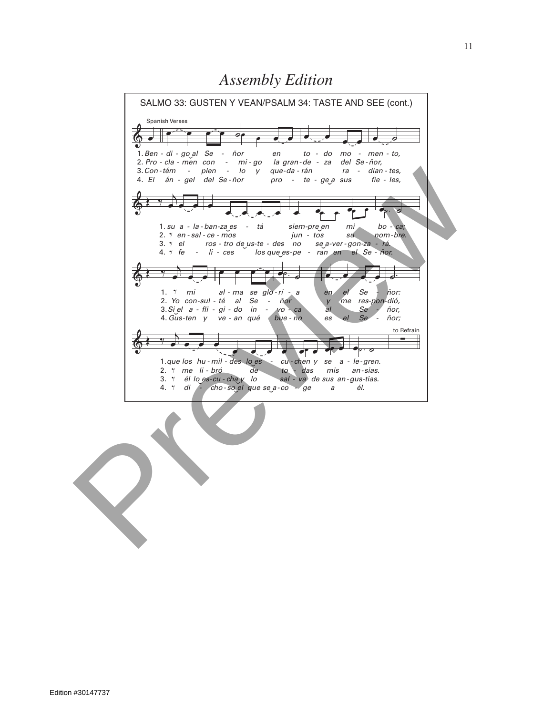*Assembly Edition*